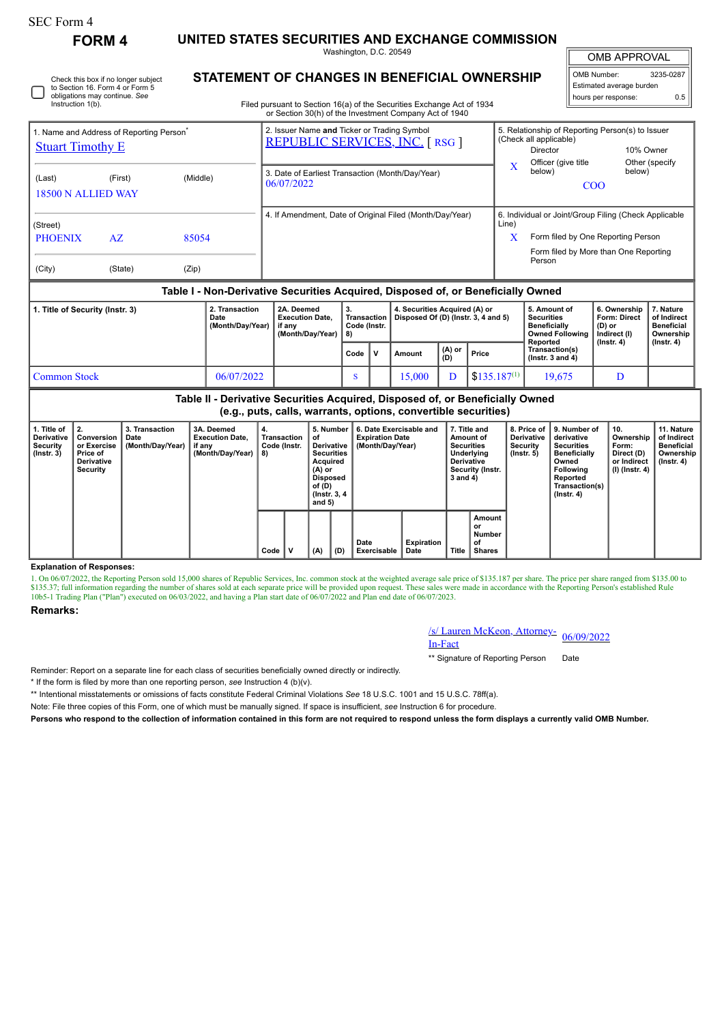## SEC Form 4

**FORM 4 UNITED STATES SECURITIES AND EXCHANGE COMMISSION**

Washington, D.C. 20549

OMB APPROVAL

OMB Number: 3235-0287 Estimated average burden hours per response: 0.5

| Check this box if no longer subject | 3 I A |
|-------------------------------------|-------|
| to Section 16. Form 4 or Form 5     |       |
| obligations may continue. See       |       |
| Instruction 1(b).                   |       |
|                                     |       |

# **STATEMENT OF CHANGES IN BENEFICIAL OWNERSHIP**

Filed pursuant to Section 16(a) of the Securities Exchange Act of 1934 or Section 30(h) of the Investment Company Act of 1940

|                                                                                  | Name and Address of Reporting Person <sup>®</sup> |          | 2. Issuer Name and Ticker or Trading Symbol<br><b>REPUBLIC SERVICES, INC. [RSG ]</b> |       | 5. Relationship of Reporting Person(s) to Issuer<br>(Check all applicable) |                             |  |  |  |  |
|----------------------------------------------------------------------------------|---------------------------------------------------|----------|--------------------------------------------------------------------------------------|-------|----------------------------------------------------------------------------|-----------------------------|--|--|--|--|
| <b>Stuart Timothy E</b>                                                          |                                                   |          |                                                                                      |       | Director<br>Officer (give title                                            | 10% Owner<br>Other (specify |  |  |  |  |
| (Last)<br>18500 N ALLIED WAY                                                     | (First)                                           | (Middle) | 3. Date of Earliest Transaction (Month/Day/Year)<br>06/07/2022                       | X     | below)<br>C <sub>OO</sub>                                                  | below)                      |  |  |  |  |
| (Street)                                                                         |                                                   |          | 4. If Amendment, Date of Original Filed (Month/Day/Year)                             | Line) | 6. Individual or Joint/Group Filing (Check Applicable                      |                             |  |  |  |  |
| <b>PHOENIX</b>                                                                   | AZ.                                               | 85054    |                                                                                      | x     | Form filed by One Reporting Person                                         |                             |  |  |  |  |
| (City)                                                                           | (State)                                           | (Zip)    |                                                                                      |       | Form filed by More than One Reporting<br>Person                            |                             |  |  |  |  |
| Table I - Non-Derivative Securities Acquired, Disposed of, or Beneficially Owned |                                                   |          |                                                                                      |       |                                                                            |                             |  |  |  |  |

| 1. Title of Security (Instr. 3) | 2. Transaction<br>Date<br>(Month/Day/Year) | 2A. Deemed<br><b>Execution Date.</b><br>if anv<br>(Month/Dav/Year)   8) | 3.<br>Code (Instr. |  | 4. Securities Acquired (A) or<br>Transaction   Disposed Of (D) (Instr. 3, 4 and 5) |                 |                                        | 5. Amount of<br><b>Securities</b><br><b>Beneficially</b><br><b>Owned Following</b><br>Reported | 6. Ownership<br>Form: Direct<br>(D) or<br>Indirect (I)<br>$($ lnstr. 4 $)$ | 7. Nature<br>of Indirect<br><b>Beneficial</b><br>Ownership |
|---------------------------------|--------------------------------------------|-------------------------------------------------------------------------|--------------------|--|------------------------------------------------------------------------------------|-----------------|----------------------------------------|------------------------------------------------------------------------------------------------|----------------------------------------------------------------------------|------------------------------------------------------------|
|                                 |                                            |                                                                         | Code               |  | Amount                                                                             | $(A)$ or<br>(D) | Price                                  | Transaction(s)<br>( $lnstr.$ 3 and 4)                                                          |                                                                            | $($ lnstr. 4 $)$                                           |
| <b>Common Stock</b>             | 06/07/2022                                 |                                                                         |                    |  | 15.000                                                                             |                 | $\frac{1}{2}$ \$135.187 <sup>(1)</sup> | 19.675                                                                                         |                                                                            |                                                            |

**Table II - Derivative Securities Acquired, Disposed of, or Beneficially Owned (e.g., puts, calls, warrants, options, convertible securities)**

| 1. Title of<br><b>Derivative</b><br>Security<br>$($ lnstr. 3 $)$ | 2.<br>Conversion<br>or Exercise<br>Price of<br><b>Derivative</b><br>Security | 3. Transaction<br>Date<br>(Month/Day/Year) | 3A. Deemed<br><b>Execution Date.</b><br>if any<br>(Month/Dav/Year) | 4.<br>Transaction<br>Code (Instr.<br>8) |   | 5. Number<br>οf<br>Derivative  <br><b>Securities</b><br>Acquired<br>(A) or<br><b>Disposed</b><br>of (D)<br>(Instr. 3, 4)<br>and $5)$ |     | 6. Date Exercisable and<br><b>Expiration Date</b><br>(Month/Day/Year) |                    | 7. Title and<br>Amount of<br><b>Securities</b><br>Underlying<br><b>Derivative</b><br>Security (Instr.<br>3 and 4) |                                               | 8. Price of<br><b>Derivative</b><br>Security<br>(Instr. 5) | 9. Number of<br>derivative<br><b>Securities</b><br><b>Beneficially</b><br>Owned<br>Following<br>Reported<br>Transaction(s)<br>$($ lnstr. 4 $)$ | 10.<br>Ownership<br>Form:<br>Direct (D)<br>or Indirect<br>(I) (Instr. 4) | 11. Nature<br>of Indirect<br><b>Beneficial</b><br>Ownership<br>(Instr. 4) |
|------------------------------------------------------------------|------------------------------------------------------------------------------|--------------------------------------------|--------------------------------------------------------------------|-----------------------------------------|---|--------------------------------------------------------------------------------------------------------------------------------------|-----|-----------------------------------------------------------------------|--------------------|-------------------------------------------------------------------------------------------------------------------|-----------------------------------------------|------------------------------------------------------------|------------------------------------------------------------------------------------------------------------------------------------------------|--------------------------------------------------------------------------|---------------------------------------------------------------------------|
|                                                                  |                                                                              |                                            |                                                                    | Code                                    | v | (A)                                                                                                                                  | (D) | Date<br>Exercisable                                                   | Expiration<br>Date | <b>Title</b>                                                                                                      | Amount<br>or<br>Number<br>of<br><b>Shares</b> |                                                            |                                                                                                                                                |                                                                          |                                                                           |

## **Explanation of Responses:**

1. On 06/07/2022, the Reporting Person sold 15,000 shares of Republic Services, Inc. common stock at the weighted average sale price of \$135.187 per share. The price per share ranged from \$135.00 to \$135.37; full information regarding the number of shares sold at each separate price will be provided upon request. These sales were made in accordance with the Reporting Person's established Rule 10b5-1 Trading Plan ("Pla

### **Remarks:**

/s/ Lauren McKeon, Attorney-<br>In-Fact

\*\* Signature of Reporting Person Date

Reminder: Report on a separate line for each class of securities beneficially owned directly or indirectly.

\* If the form is filed by more than one reporting person, *see* Instruction 4 (b)(v).

\*\* Intentional misstatements or omissions of facts constitute Federal Criminal Violations *See* 18 U.S.C. 1001 and 15 U.S.C. 78ff(a).

Note: File three copies of this Form, one of which must be manually signed. If space is insufficient, *see* Instruction 6 for procedure.

**Persons who respond to the collection of information contained in this form are not required to respond unless the form displays a currently valid OMB Number.**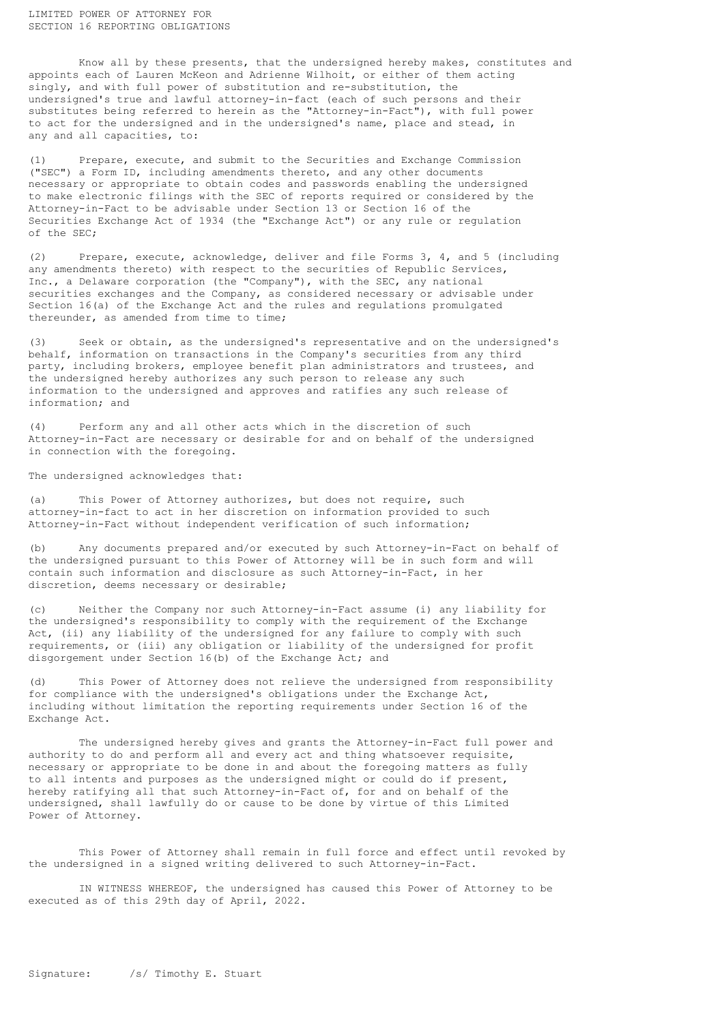Know all by these presents, that the undersigned hereby makes, constitutes and appoints each of Lauren McKeon and Adrienne Wilhoit, or either of them acting singly, and with full power of substitution and re-substitution, the undersigned's true and lawful attorney-in-fact (each of such persons and their substitutes being referred to herein as the "Attorney-in-Fact"), with full power to act for the undersigned and in the undersigned's name, place and stead, in any and all capacities, to:

(1) Prepare, execute, and submit to the Securities and Exchange Commission ("SEC") a Form ID, including amendments thereto, and any other documents necessary or appropriate to obtain codes and passwords enabling the undersigned to make electronic filings with the SEC of reports required or considered by the Attorney-in-Fact to be advisable under Section 13 or Section 16 of the Securities Exchange Act of 1934 (the "Exchange Act") or any rule or regulation of the SEC;

(2) Prepare, execute, acknowledge, deliver and file Forms 3, 4, and 5 (including any amendments thereto) with respect to the securities of Republic Services, Inc., a Delaware corporation (the "Company"), with the SEC, any national securities exchanges and the Company, as considered necessary or advisable under Section 16(a) of the Exchange Act and the rules and regulations promulgated thereunder, as amended from time to time;

(3) Seek or obtain, as the undersigned's representative and on the undersigned's behalf, information on transactions in the Company's securities from any third party, including brokers, employee benefit plan administrators and trustees, and the undersigned hereby authorizes any such person to release any such information to the undersigned and approves and ratifies any such release of information; and

(4) Perform any and all other acts which in the discretion of such Attorney-in-Fact are necessary or desirable for and on behalf of the undersigned in connection with the foregoing.

The undersigned acknowledges that:

(a) This Power of Attorney authorizes, but does not require, such attorney-in-fact to act in her discretion on information provided to such Attorney-in-Fact without independent verification of such information;

(b) Any documents prepared and/or executed by such Attorney-in-Fact on behalf of the undersigned pursuant to this Power of Attorney will be in such form and will contain such information and disclosure as such Attorney-in-Fact, in her discretion, deems necessary or desirable;

(c) Neither the Company nor such Attorney-in-Fact assume (i) any liability for the undersigned's responsibility to comply with the requirement of the Exchange Act, (ii) any liability of the undersigned for any failure to comply with such requirements, or (iii) any obligation or liability of the undersigned for profit disgorgement under Section 16(b) of the Exchange Act; and

This Power of Attorney does not relieve the undersigned from responsibility for compliance with the undersigned's obligations under the Exchange Act, including without limitation the reporting requirements under Section 16 of the Exchange Act.

The undersigned hereby gives and grants the Attorney-in-Fact full power and authority to do and perform all and every act and thing whatsoever requisite, necessary or appropriate to be done in and about the foregoing matters as fully to all intents and purposes as the undersigned might or could do if present, hereby ratifying all that such Attorney-in-Fact of, for and on behalf of the undersigned, shall lawfully do or cause to be done by virtue of this Limited Power of Attorney.

This Power of Attorney shall remain in full force and effect until revoked by the undersigned in a signed writing delivered to such Attorney-in-Fact.

IN WITNESS WHEREOF, the undersigned has caused this Power of Attorney to be executed as of this 29th day of April, 2022.